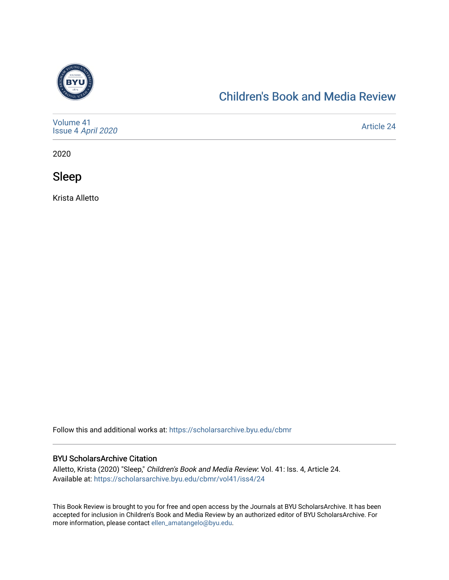

## [Children's Book and Media Review](https://scholarsarchive.byu.edu/cbmr)

| Volume 41<br>Issue 4 April 2020 | Article 24 |
|---------------------------------|------------|
|---------------------------------|------------|

2020

Sleep

Krista Alletto

Follow this and additional works at: [https://scholarsarchive.byu.edu/cbmr](https://scholarsarchive.byu.edu/cbmr?utm_source=scholarsarchive.byu.edu%2Fcbmr%2Fvol41%2Fiss4%2F24&utm_medium=PDF&utm_campaign=PDFCoverPages) 

## BYU ScholarsArchive Citation

Alletto, Krista (2020) "Sleep," Children's Book and Media Review: Vol. 41: Iss. 4, Article 24. Available at: [https://scholarsarchive.byu.edu/cbmr/vol41/iss4/24](https://scholarsarchive.byu.edu/cbmr/vol41/iss4/24?utm_source=scholarsarchive.byu.edu%2Fcbmr%2Fvol41%2Fiss4%2F24&utm_medium=PDF&utm_campaign=PDFCoverPages)

This Book Review is brought to you for free and open access by the Journals at BYU ScholarsArchive. It has been accepted for inclusion in Children's Book and Media Review by an authorized editor of BYU ScholarsArchive. For more information, please contact [ellen\\_amatangelo@byu.edu.](mailto:ellen_amatangelo@byu.edu)